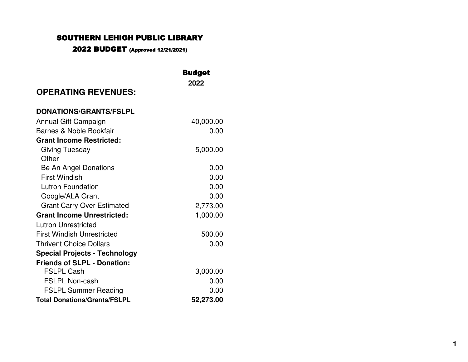### SO UTHERN LEHIGH P UBLIC LIBRARY

### 2022 BUDGET (Approved 12/21/2021)

|                                      | <b>Budget</b> |
|--------------------------------------|---------------|
|                                      | 2022          |
| <b>OPERATING REVENUES:</b>           |               |
| <b>DONATIONS/GRANTS/FSLPL</b>        |               |
| Annual Gift Campaign                 | 40,000.00     |
| Barnes & Noble Bookfair              | 0.00          |
| <b>Grant Income Restricted:</b>      |               |
| Giving Tuesday                       | 5,000.00      |
| Other                                |               |
| Be An Angel Donations                | 0.00          |
| <b>First Windish</b>                 | 0.00          |
| <b>Lutron Foundation</b>             | 0.00          |
| Google/ALA Grant                     | 0.00          |
| <b>Grant Carry Over Estimated</b>    | 2,773.00      |
| <b>Grant Income Unrestricted:</b>    | 1,000.00      |
| <b>Lutron Unrestricted</b>           |               |
| <b>First Windish Unrestricted</b>    | 500.00        |
| <b>Thrivent Choice Dollars</b>       | 0.00          |
| <b>Special Projects - Technology</b> |               |
| <b>Friends of SLPL - Donation:</b>   |               |
| <b>FSLPL Cash</b>                    | 3,000.00      |
| <b>FSLPL Non-cash</b>                | 0.00          |
| <b>FSLPL Summer Reading</b>          | 0.00          |
| <b>Total Donations/Grants/FSLPL</b>  | 52,273.00     |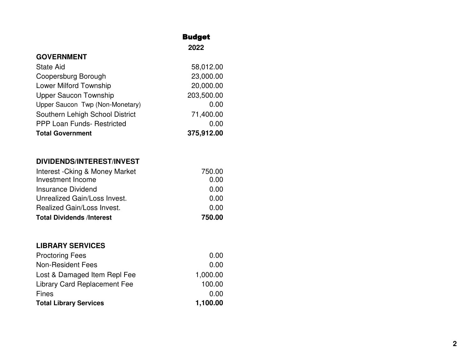### **GOVERNMENT**

| <b>State Aid</b>                  | 58,012.00  |
|-----------------------------------|------------|
| Coopersburg Borough               | 23,000.00  |
| <b>Lower Milford Township</b>     | 20,000.00  |
| <b>Upper Saucon Township</b>      | 203,500.00 |
| Upper Saucon Twp (Non-Monetary)   | 0.00       |
| Southern Lehigh School District   | 71,400.00  |
| <b>PPP Loan Funds- Restricted</b> | 0.00       |
| <b>Total Government</b>           | 375,912.00 |

**Budget 2022**

### **DIVIDENDS/INTEREST/INVEST**

| Interest - Cking & Money Market  | 750.00 |
|----------------------------------|--------|
| Investment Income                | 0.00   |
| Insurance Dividend               | 0.00   |
| Unrealized Gain/Loss Invest.     | 0.00   |
| Realized Gain/Loss Invest.       | 0.00   |
| <b>Total Dividends /Interest</b> | 750.00 |

### **LIBRARY SERVICES**

| <b>Total Library Services</b> | 1,100.00 |
|-------------------------------|----------|
| Fines                         | 0.00     |
| Library Card Replacement Fee  | 100.00   |
| Lost & Damaged Item Repl Fee  | 1,000.00 |
| <b>Non-Resident Fees</b>      | 0.00     |
| <b>Proctoring Fees</b>        | 0.00     |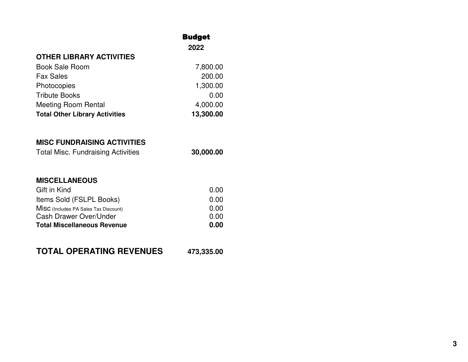# **OTHER LIBRARY ACTIVITIES** Book Sale Room 7,800.00

| <b>Total Other Library Activities</b> | 13,300.00 |
|---------------------------------------|-----------|
| <b>Meeting Room Rental</b>            | 4,000.00  |
| <b>Tribute Books</b>                  | 0.00      |
| Photocopies                           | 1,300.00  |
| <b>Fax Sales</b>                      | 200.00    |
| <b>DUUN JAIT NUUII</b>                | 7,000.00  |

Budget **2022**

### **MISC FUNDRAISING ACTIVITIES**

| <b>Total Misc. Fundraising Activities</b> | 30,000.00 |
|-------------------------------------------|-----------|
|-------------------------------------------|-----------|

### **MISCELLANEOUS**

| Gift in Kind                          | 0.00 |
|---------------------------------------|------|
| Items Sold (FSLPL Books)              | 0.00 |
| MISC (Includes PA Sales Tax Discount) | 0.00 |
| Cash Drawer Over/Under                | 0.00 |
| <b>Total Miscellaneous Revenue</b>    | 0.00 |

## **TOTAL OPERATING REVENUES 473,335.00**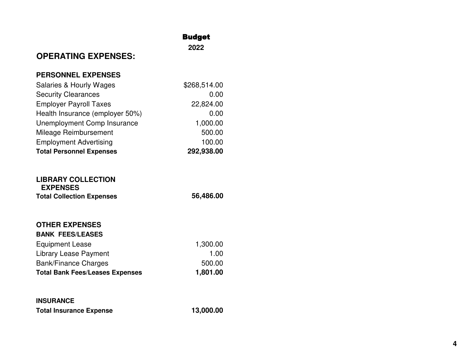### **Budget**

**2022**

# **OPERATING EXPENSES:**

### **PERSONNEL EXPENSES**

| <b>Salaries &amp; Hourly Wages</b> | \$268,514.00 |
|------------------------------------|--------------|
| <b>Security Clearances</b>         | 0.00         |
| <b>Employer Payroll Taxes</b>      | 22,824.00    |
| Health Insurance (employer 50%)    | 0.00         |
| Unemployment Comp Insurance        | 1,000.00     |
| Mileage Reimbursement              | 500.00       |
| <b>Employment Advertising</b>      | 100.00       |
| <b>Total Personnel Expenses</b>    | 292,938.00   |

### **LIBRARY COLLECTION EXPENSES Total Collection Expenses 56,486.00**

#### **OTHER EXPENSES BANK FEES/LEASES**

| BANK FEES/LEASES                       |          |
|----------------------------------------|----------|
| <b>Equipment Lease</b>                 | 1,300.00 |
| Library Lease Payment                  | 1.00     |
| <b>Bank/Finance Charges</b>            | 500.00   |
| <b>Total Bank Fees/Leases Expenses</b> | 1,801.00 |

# **INSURANCE Total Insurance Expense 13,000.00**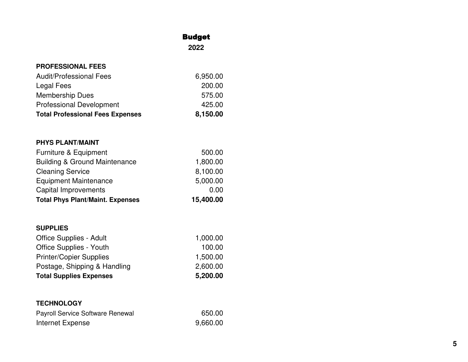### **Budget**

**2022**

| <b>PROFESSIONAL FEES</b>                |          |
|-----------------------------------------|----------|
| <b>Audit/Professional Fees</b>          | 6,950.00 |
| Legal Fees                              | 200.00   |
| <b>Membership Dues</b>                  | 575.00   |
| <b>Professional Development</b>         | 425.00   |
| <b>Total Professional Fees Expenses</b> | 8,150.00 |
|                                         |          |

### **PHYS PLANT/MAINT**

| <b>Total Phys Plant/Maint. Expenses</b>  | 15,400.00 |
|------------------------------------------|-----------|
| <b>Capital Improvements</b>              | 0.00      |
| <b>Equipment Maintenance</b>             | 5,000.00  |
| <b>Cleaning Service</b>                  | 8,100.00  |
| <b>Building &amp; Ground Maintenance</b> | 1,800.00  |
| Furniture & Equipment                    | 500.00    |

### **SUPPLIES**

| <b>Total Supplies Expenses</b> | 5,200.00 |
|--------------------------------|----------|
| Postage, Shipping & Handling   | 2,600.00 |
| <b>Printer/Copier Supplies</b> | 1,500.00 |
| <b>Office Supplies - Youth</b> | 100.00   |
| Office Supplies - Adult        | 1,000.00 |

### **TECHNOLOGY**

| Payroll Service Software Renewal | 650.00   |
|----------------------------------|----------|
| Internet Expense                 | 9,660.00 |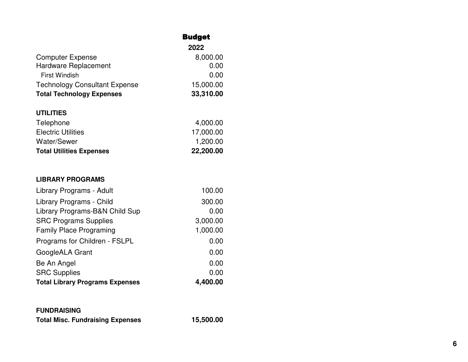|                                      | <b>Budget</b> |
|--------------------------------------|---------------|
|                                      | 2022          |
| <b>Computer Expense</b>              | 8,000.00      |
| Hardware Replacement                 | 0.00          |
| <b>First Windish</b>                 | 0.00          |
| <b>Technology Consultant Expense</b> | 15,000.00     |
| <b>Total Technology Expenses</b>     | 33,310.00     |
| <b>UTILITIES</b>                     |               |
| Telephone                            | 4,000.00      |
| <b>Electric Utilities</b>            | 17,000.00     |
| <b>Water/Sewer</b>                   | 1,200.00      |
| <b>Total Utilities Expenses</b>      | 22,200.00     |
| <b>LIBRARY PROGRAMS</b>              |               |
| Library Programs - Adult             | 100.00        |
| Library Programs - Child             | 300.00        |
| Library Programs-B&N Child Sup       | 0.00          |
| <b>SRC Programs Supplies</b>         | 3,000.00      |
| <b>Family Place Programing</b>       | 1,000.00      |
| Programs for Children - FSLPL        | 0.00          |
| GoogleALA Grant                      | 0.00          |
| Be An Angel                          | 0.00          |

| <b>Total Library Programs Expenses</b> | 4,400.00 |
|----------------------------------------|----------|
| <b>SRC Supplies</b>                    | 0.00     |
| Be An Angel                            | 0.00     |

# **FUNDRAISING**

| <b>Total Misc. Fundraising Expenses</b> | 15,500.00 |
|-----------------------------------------|-----------|
|                                         |           |